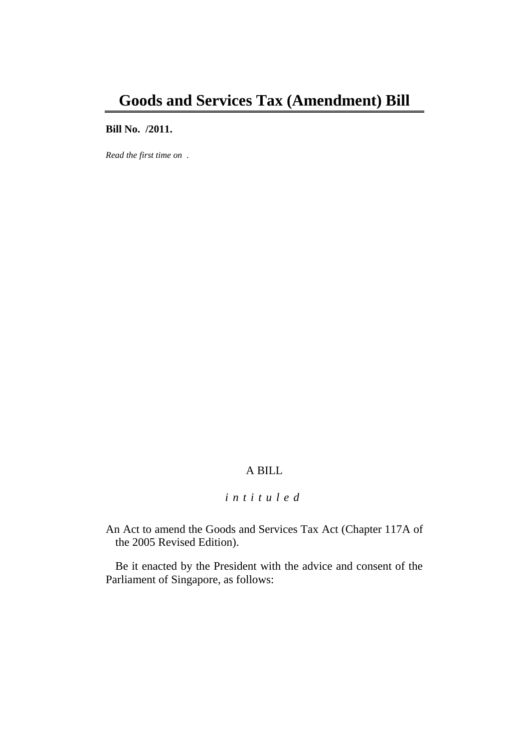## **Bill No. /2011.**

*Read the first time on .*

# A BILL

## *i n t i t u l e d*

An Act to amend the Goods and Services Tax Act (Chapter 117A of the 2005 Revised Edition).

Be it enacted by the President with the advice and consent of the Parliament of Singapore, as follows: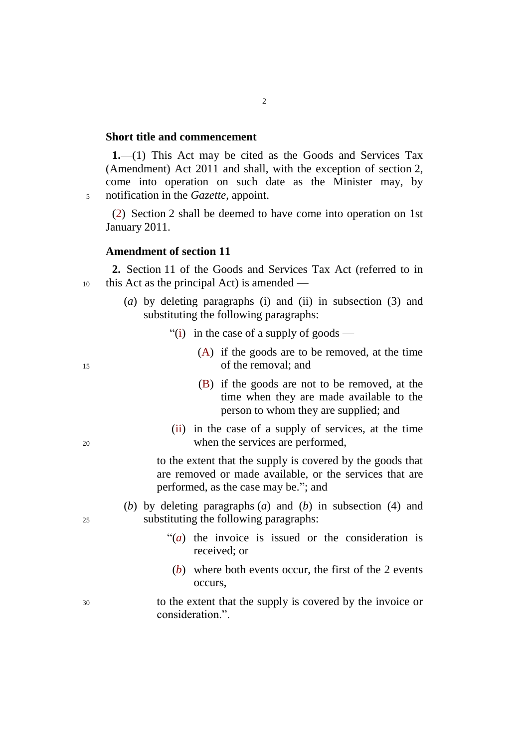#### **Short title and commencement**

**1.**—(1) This Act may be cited as the Goods and Services Tax (Amendment) Act 2011 and shall, with the exception of section 2, come into operation on such date as the Minister may, by <sup>5</sup> notification in the *Gazette*, appoint.

(2) Section 2 shall be deemed to have come into operation on 1st January 2011.

## **Amendment of section 11**

**2.** Section 11 of the Goods and Services Tax Act (referred to in <sup>10</sup> this Act as the principal Act) is amended —

- (*a*) by deleting paragraphs (i) and (ii) in subsection (3) and substituting the following paragraphs:
	- "(i) in the case of a supply of goods —
- (A) if the goods are to be removed, at the time <sup>15</sup> of the removal; and
	- (B) if the goods are not to be removed, at the time when they are made available to the person to whom they are supplied; and
- (ii) in the case of a supply of services, at the time <sup>20</sup> when the services are performed,

to the extent that the supply is covered by the goods that are removed or made available, or the services that are performed, as the case may be."; and

- (*b*) by deleting paragraphs (*a*) and (*b*) in subsection (4) and <sup>25</sup> substituting the following paragraphs:
	- "(*a*) the invoice is issued or the consideration is received; or
	- (*b*) where both events occur, the first of the 2 events occurs,
- <sup>30</sup> to the extent that the supply is covered by the invoice or consideration.".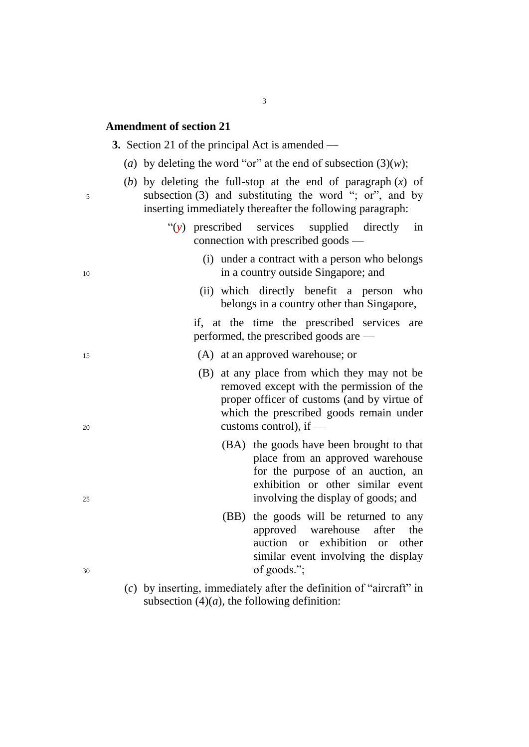## **Amendment of section 21**

|    | <b>3.</b> Section 21 of the principal Act is amended —                                                                                                                                                         |
|----|----------------------------------------------------------------------------------------------------------------------------------------------------------------------------------------------------------------|
|    | (a) by deleting the word "or" at the end of subsection $(3)(w)$ ;                                                                                                                                              |
| 5  | (b) by deleting the full-stop at the end of paragraph $(x)$ of<br>subsection $(3)$ and substituting the word "; or", and by<br>inserting immediately thereafter the following paragraph:                       |
|    | "(y) prescribed services supplied directly in<br>connection with prescribed goods —                                                                                                                            |
| 10 | (i) under a contract with a person who belongs<br>in a country outside Singapore; and                                                                                                                          |
|    | (ii) which directly benefit a person who<br>belongs in a country other than Singapore,                                                                                                                         |
|    | if, at the time the prescribed services are<br>performed, the prescribed goods are —                                                                                                                           |
| 15 | (A) at an approved warehouse; or                                                                                                                                                                               |
|    | (B) at any place from which they may not be<br>removed except with the permission of the<br>proper officer of customs (and by virtue of<br>which the prescribed goods remain under<br>customs control), if $-$ |
| 20 | (BA) the goods have been brought to that                                                                                                                                                                       |
|    |                                                                                                                                                                                                                |

- to that place from an approved warehouse for the purpose of an auction, an exhibition or other similar event <sup>25</sup> involving the display of goods; and
- (BB) the goods will be returned to any approved warehouse after the auction or exhibition or other similar event involving the display <sup>30</sup> of goods.";
	- (*c*) by inserting, immediately after the definition of "aircraft" in subsection  $(4)(a)$ , the following definition:
-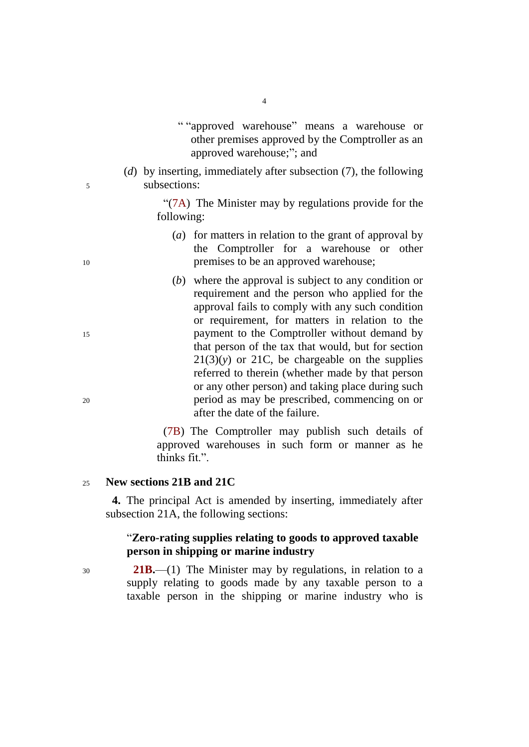- " "approved warehouse" means a warehouse or other premises approved by the Comptroller as an approved warehouse;"; and
- (*d*) by inserting, immediately after subsection (7), the following <sup>5</sup> subsections:

"(7A) The Minister may by regulations provide for the following:

- (*a*) for matters in relation to the grant of approval by the Comptroller for a warehouse or other <sup>10</sup> premises to be an approved warehouse;
- (*b*) where the approval is subject to any condition or requirement and the person who applied for the approval fails to comply with any such condition or requirement, for matters in relation to the <sup>15</sup> payment to the Comptroller without demand by that person of the tax that would, but for section  $21(3)(y)$  or 21C, be chargeable on the supplies referred to therein (whether made by that person or any other person) and taking place during such <sup>20</sup> period as may be prescribed, commencing on or after the date of the failure.

(7B) The Comptroller may publish such details of approved warehouses in such form or manner as he thinks fit.".

#### <sup>25</sup> **New sections 21B and 21C**

**4.** The principal Act is amended by inserting, immediately after subsection 21A, the following sections:

## "**Zero-rating supplies relating to goods to approved taxable person in shipping or marine industry**

<sup>30</sup> **21B.**—(1) The Minister may by regulations, in relation to a supply relating to goods made by any taxable person to a taxable person in the shipping or marine industry who is

4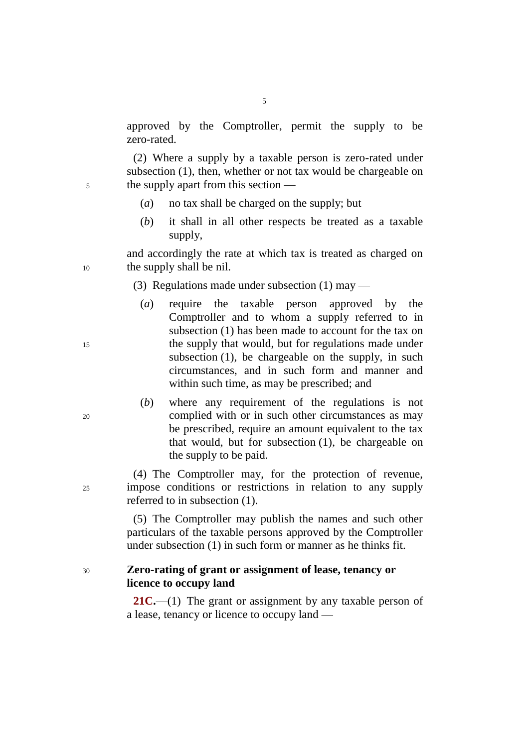approved by the Comptroller, permit the supply to be zero-rated.

5

(2) Where a supply by a taxable person is zero-rated under subsection (1), then, whether or not tax would be chargeable on <sup>5</sup> the supply apart from this section —

- (*a*) no tax shall be charged on the supply; but
- (*b*) it shall in all other respects be treated as a taxable supply,

and accordingly the rate at which tax is treated as charged on <sup>10</sup> the supply shall be nil.

(3) Regulations made under subsection  $(1)$  may —

- (*a*) require the taxable person approved by the Comptroller and to whom a supply referred to in subsection (1) has been made to account for the tax on <sup>15</sup> the supply that would, but for regulations made under subsection (1), be chargeable on the supply, in such circumstances, and in such form and manner and within such time, as may be prescribed; and
- (*b*) where any requirement of the regulations is not <sup>20</sup> complied with or in such other circumstances as may be prescribed, require an amount equivalent to the tax that would, but for subsection (1), be chargeable on the supply to be paid.

(4) The Comptroller may, for the protection of revenue, <sup>25</sup> impose conditions or restrictions in relation to any supply referred to in subsection (1).

> (5) The Comptroller may publish the names and such other particulars of the taxable persons approved by the Comptroller under subsection (1) in such form or manner as he thinks fit.

### <sup>30</sup> **Zero-rating of grant or assignment of lease, tenancy or licence to occupy land**

**21C.**—(1) The grant or assignment by any taxable person of a lease, tenancy or licence to occupy land —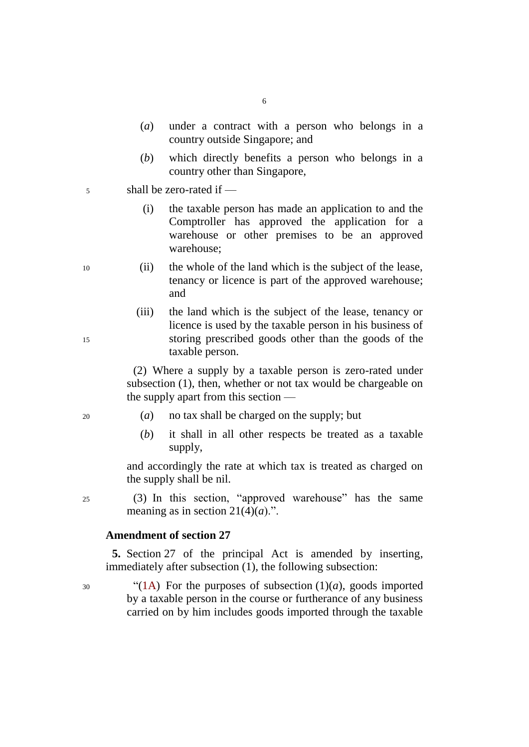- 6
- (*a*) under a contract with a person who belongs in a country outside Singapore; and
- (*b*) which directly benefits a person who belongs in a country other than Singapore,
- <sup>5</sup> shall be zero-rated if —

(i) the taxable person has made an application to and the Comptroller has approved the application for a warehouse or other premises to be an approved warehouse;

- <sup>10</sup> (ii) the whole of the land which is the subject of the lease, tenancy or licence is part of the approved warehouse; and
- (iii) the land which is the subject of the lease, tenancy or licence is used by the taxable person in his business of <sup>15</sup> storing prescribed goods other than the goods of the taxable person.

(2) Where a supply by a taxable person is zero-rated under subsection (1), then, whether or not tax would be chargeable on the supply apart from this section —

- <sup>20</sup> (*a*) no tax shall be charged on the supply; but
	- (*b*) it shall in all other respects be treated as a taxable supply,

and accordingly the rate at which tax is treated as charged on the supply shall be nil.

<sup>25</sup> (3) In this section, "approved warehouse" has the same meaning as in section  $21(4)(a)$ .".

#### **Amendment of section 27**

**5.** Section 27 of the principal Act is amended by inserting, immediately after subsection (1), the following subsection:

 $^{30}$  (1A) For the purposes of subsection (1)(*a*), goods imported by a taxable person in the course or furtherance of any business carried on by him includes goods imported through the taxable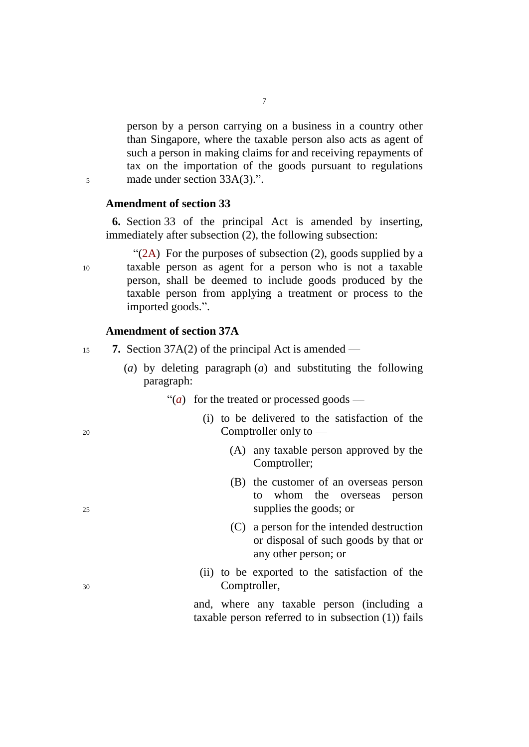person by a person carrying on a business in a country other than Singapore, where the taxable person also acts as agent of such a person in making claims for and receiving repayments of tax on the importation of the goods pursuant to regulations <sup>5</sup> made under section 33A(3).".

### **Amendment of section 33**

**6.** Section 33 of the principal Act is amended by inserting, immediately after subsection (2), the following subsection:

"(2A) For the purposes of subsection (2), goods supplied by a <sup>10</sup> taxable person as agent for a person who is not a taxable person, shall be deemed to include goods produced by the taxable person from applying a treatment or process to the imported goods.".

### **Amendment of section 37A**

- <sup>15</sup> **7.** Section 37A(2) of the principal Act is amended
	- (*a*) by deleting paragraph (*a*) and substituting the following paragraph:
		- " $(a)$  for the treated or processed goods —
- (i) to be delivered to the satisfaction of the <sup>20</sup> Comptroller only to —
	- (A) any taxable person approved by the Comptroller;
- (B) the customer of an overseas person to whom the overseas person <sup>25</sup> supplies the goods; or
	- (C) a person for the intended destruction or disposal of such goods by that or any other person; or
- (ii) to be exported to the satisfaction of the <sup>30</sup> Comptroller,

and, where any taxable person (including a taxable person referred to in subsection (1)) fails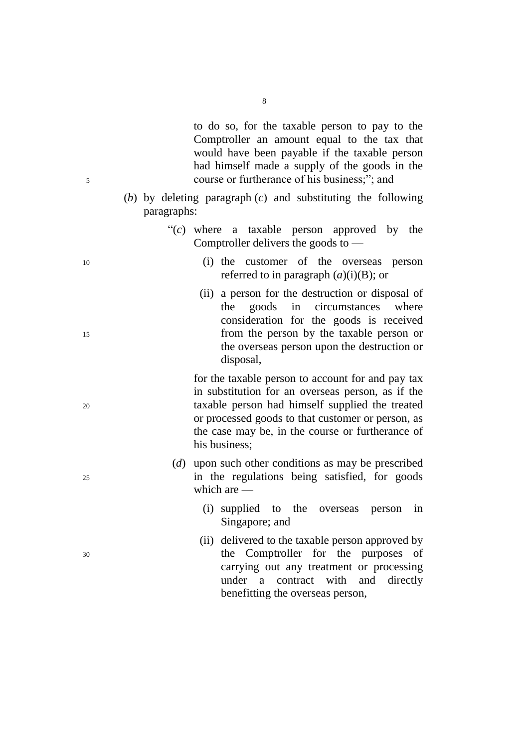to do so, for the taxable person to pay to the Comptroller an amount equal to the tax that would have been payable if the taxable person had himself made a supply of the goods in the <sup>5</sup> course or furtherance of his business;"; and

> (*b*) by deleting paragraph (*c*) and substituting the following paragraphs:

|                                       |  |  |  | " $(c)$ where a taxable person approved by the |  |
|---------------------------------------|--|--|--|------------------------------------------------|--|
| Comptroller delivers the goods to $-$ |  |  |  |                                                |  |

- <sup>10</sup> (i) the customer of the overseas person referred to in paragraph (*a*)(i)(B); or
- (ii) a person for the destruction or disposal of the goods in circumstances where consideration for the goods is received <sup>15</sup> from the person by the taxable person or the overseas person upon the destruction or disposal,

for the taxable person to account for and pay tax in substitution for an overseas person, as if the <sup>20</sup> taxable person had himself supplied the treated or processed goods to that customer or person, as the case may be, in the course or furtherance of his business;

- (*d*) upon such other conditions as may be prescribed <sup>25</sup> in the regulations being satisfied, for goods which are —
	- (i) supplied to the overseas person in Singapore; and
- (ii) delivered to the taxable person approved by <sup>30</sup> the Comptroller for the purposes of carrying out any treatment or processing under a contract with and directly benefitting the overseas person,

- 
-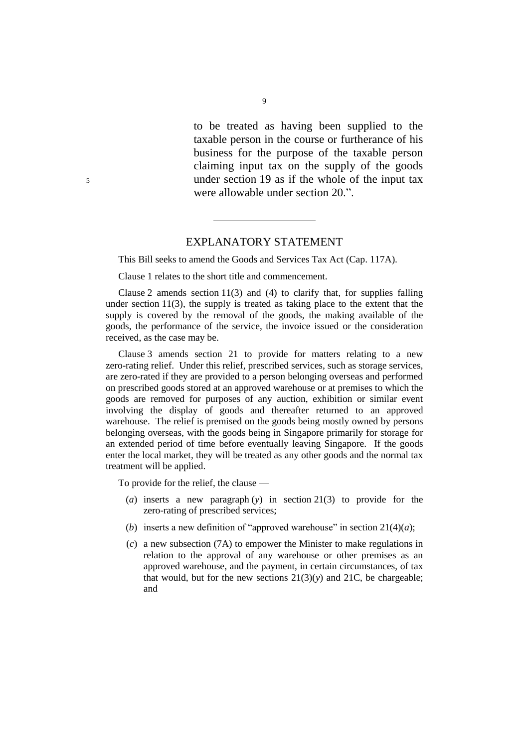to be treated as having been supplied to the taxable person in the course or furtherance of his business for the purpose of the taxable person claiming input tax on the supply of the goods <sup>5</sup> under section 19 as if the whole of the input tax were allowable under section 20.".

#### EXPLANATORY STATEMENT

This Bill seeks to amend the Goods and Services Tax Act (Cap. 117A).

Clause 1 relates to the short title and commencement.

Clause 2 amends section  $11(3)$  and (4) to clarify that, for supplies falling under section  $11(3)$ , the supply is treated as taking place to the extent that the supply is covered by the removal of the goods, the making available of the goods, the performance of the service, the invoice issued or the consideration received, as the case may be.

Clause 3 amends section 21 to provide for matters relating to a new zero-rating relief. Under this relief, prescribed services, such as storage services, are zero-rated if they are provided to a person belonging overseas and performed on prescribed goods stored at an approved warehouse or at premises to which the goods are removed for purposes of any auction, exhibition or similar event involving the display of goods and thereafter returned to an approved warehouse. The relief is premised on the goods being mostly owned by persons belonging overseas, with the goods being in Singapore primarily for storage for an extended period of time before eventually leaving Singapore. If the goods enter the local market, they will be treated as any other goods and the normal tax treatment will be applied.

To provide for the relief, the clause —

- (*a*) inserts a new paragraph (*y*) in section 21(3) to provide for the zero-rating of prescribed services;
- (*b*) inserts a new definition of "approved warehouse" in section  $21(4)(a)$ ;
- (*c*) a new subsection (7A) to empower the Minister to make regulations in relation to the approval of any warehouse or other premises as an approved warehouse, and the payment, in certain circumstances, of tax that would, but for the new sections  $21(3)(y)$  and  $21C$ , be chargeable; and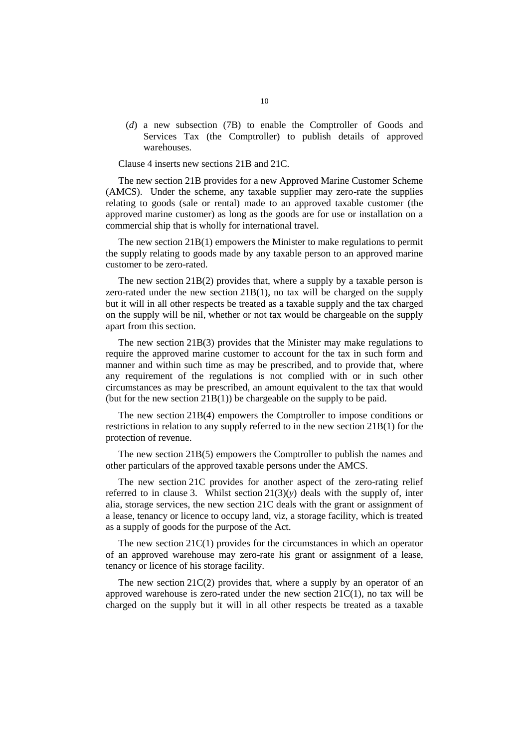(*d*) a new subsection (7B) to enable the Comptroller of Goods and Services Tax (the Comptroller) to publish details of approved warehouses.

Clause 4 inserts new sections 21B and 21C.

The new section 21B provides for a new Approved Marine Customer Scheme (AMCS). Under the scheme, any taxable supplier may zero-rate the supplies relating to goods (sale or rental) made to an approved taxable customer (the approved marine customer) as long as the goods are for use or installation on a commercial ship that is wholly for international travel.

The new section 21B(1) empowers the Minister to make regulations to permit the supply relating to goods made by any taxable person to an approved marine customer to be zero-rated.

The new section 21B(2) provides that, where a supply by a taxable person is zero-rated under the new section 21B(1), no tax will be charged on the supply but it will in all other respects be treated as a taxable supply and the tax charged on the supply will be nil, whether or not tax would be chargeable on the supply apart from this section.

The new section 21B(3) provides that the Minister may make regulations to require the approved marine customer to account for the tax in such form and manner and within such time as may be prescribed, and to provide that, where any requirement of the regulations is not complied with or in such other circumstances as may be prescribed, an amount equivalent to the tax that would (but for the new section 21B(1)) be chargeable on the supply to be paid.

The new section 21B(4) empowers the Comptroller to impose conditions or restrictions in relation to any supply referred to in the new section 21B(1) for the protection of revenue.

The new section 21B(5) empowers the Comptroller to publish the names and other particulars of the approved taxable persons under the AMCS.

The new section 21C provides for another aspect of the zero-rating relief referred to in clause 3. Whilst section  $21(3)(y)$  deals with the supply of, inter alia, storage services, the new section 21C deals with the grant or assignment of a lease, tenancy or licence to occupy land, viz, a storage facility, which is treated as a supply of goods for the purpose of the Act.

The new section 21C(1) provides for the circumstances in which an operator of an approved warehouse may zero-rate his grant or assignment of a lease, tenancy or licence of his storage facility.

The new section  $21C(2)$  provides that, where a supply by an operator of an approved warehouse is zero-rated under the new section  $21C(1)$ , no tax will be charged on the supply but it will in all other respects be treated as a taxable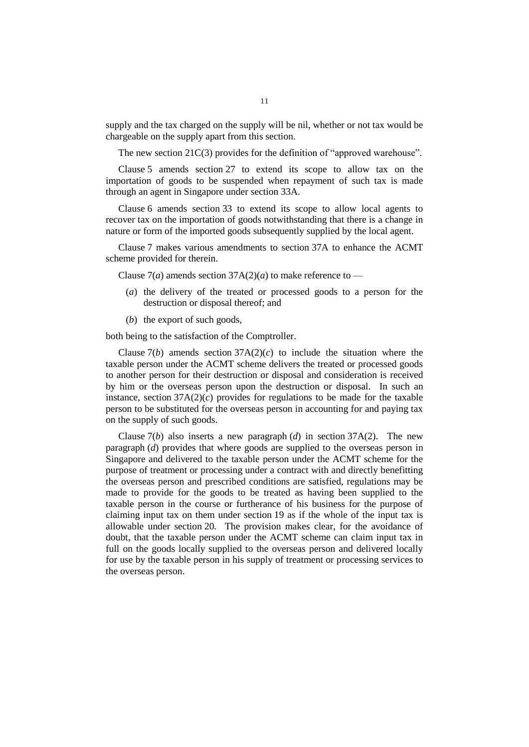supply and the tax charged on the supply will be nil, whether or not tax would be chargeable on the supply apart from this section.

The new section 21C(3) provides for the definition of "approved warehouse".

Clause 5 amends section 27 to extend its scope to allow tax on the importation of goods to be suspended when repayment of such tax is made through an agent in Singapore under section 33A.

Clause 6 amends section 33 to extend its scope to allow local agents to recover tax on the importation of goods notwithstanding that there is a change in nature or form of the imported goods subsequently supplied by the local agent.

Clause 7 makes various amendments to section 37A to enhance the ACMT scheme provided for therein.

Clause  $7(a)$  amends section  $37A(2)(a)$  to make reference to —

- (*a*) the delivery of the treated or processed goods to a person for the destruction or disposal thereof; and
- (*b*) the export of such goods,

both being to the satisfaction of the Comptroller.

Clause  $7(b)$  amends section  $37A(2)(c)$  to include the situation where the taxable person under the ACMT scheme delivers the treated or processed goods to another person for their destruction or disposal and consideration is received by him or the overseas person upon the destruction or disposal. In such an instance, section  $37A(2)(c)$  provides for regulations to be made for the taxable person to be substituted for the overseas person in accounting for and paying tax on the supply of such goods.

Clause  $7(b)$  also inserts a new paragraph  $(d)$  in section 37A(2). The new paragraph (*d*) provides that where goods are supplied to the overseas person in Singapore and delivered to the taxable person under the ACMT scheme for the purpose of treatment or processing under a contract with and directly benefitting the overseas person and prescribed conditions are satisfied, regulations may be made to provide for the goods to be treated as having been supplied to the taxable person in the course or furtherance of his business for the purpose of claiming input tax on them under section 19 as if the whole of the input tax is allowable under section 20. The provision makes clear, for the avoidance of doubt, that the taxable person under the ACMT scheme can claim input tax in full on the goods locally supplied to the overseas person and delivered locally for use by the taxable person in his supply of treatment or processing services to the overseas person.